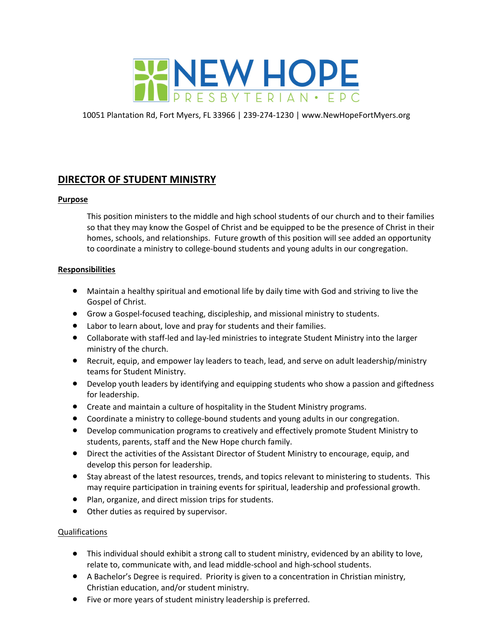

10051 Plantation Rd, Fort Myers, FL 33966 | 239-274-1230 | www.NewHopeFortMyers.org

# **DIRECTOR OF STUDENT MINISTRY**

# **Purpose**

This position ministers to the middle and high school students of our church and to their families so that they may know the Gospel of Christ and be equipped to be the presence of Christ in their homes, schools, and relationships. Future growth of this position will see added an opportunity to coordinate a ministry to college-bound students and young adults in our congregation.

# **Responsibilities**

- Maintain a healthy spiritual and emotional life by daily time with God and striving to live the Gospel of Christ.
- Grow a Gospel-focused teaching, discipleship, and missional ministry to students.
- Labor to learn about, love and pray for students and their families.
- Collaborate with staff-led and lay-led ministries to integrate Student Ministry into the larger ministry of the church.
- Recruit, equip, and empower lay leaders to teach, lead, and serve on adult leadership/ministry teams for Student Ministry.
- Develop youth leaders by identifying and equipping students who show a passion and giftedness for leadership.
- Create and maintain a culture of hospitality in the Student Ministry programs.
- Coordinate a ministry to college-bound students and young adults in our congregation.
- Develop communication programs to creatively and effectively promote Student Ministry to students, parents, staff and the New Hope church family.
- Direct the activities of the Assistant Director of Student Ministry to encourage, equip, and develop this person for leadership.
- Stay abreast of the latest resources, trends, and topics relevant to ministering to students. This may require participation in training events for spiritual, leadership and professional growth.
- Plan, organize, and direct mission trips for students.
- Other duties as required by supervisor.

### Qualifications

- This individual should exhibit a strong call to student ministry, evidenced by an ability to love, relate to, communicate with, and lead middle-school and high-school students.
- A Bachelor's Degree is required. Priority is given to a concentration in Christian ministry, Christian education, and/or student ministry.
- Five or more years of student ministry leadership is preferred.